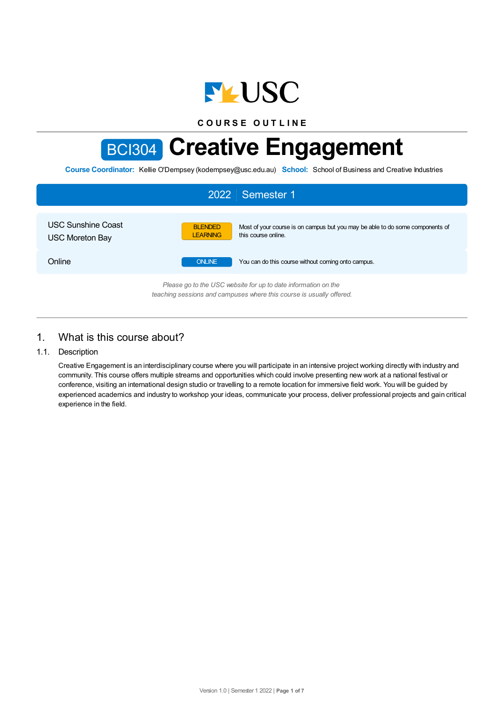

**C O U R S E O U T L I N E**

# BCI304 **Creative Engagement**

**Course Coordinator:** Kellie O'Dempsey (kodempsey@usc.edu.au) **School:** School of Business and Creative Industries



1. What is this course about?

## 1.1. Description

Creative Engagement is an interdisciplinary course where you will participate in an intensive project working directly with industry and community. This course offers multiple streams and opportunities which could involve presenting new work at a national festival or conference, visiting an international design studio or travelling to a remote location for immersive field work. You will be guided by experienced academics and industry to workshop your ideas, communicate your process, deliver professional projects and gain critical experience in the field.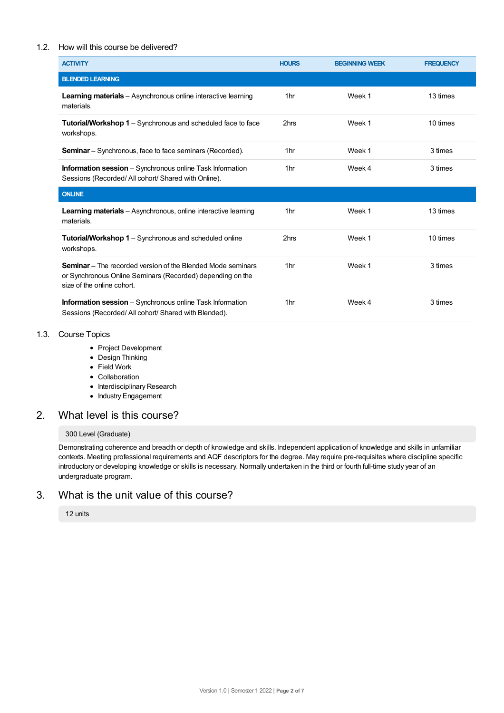## 1.2. How will this course be delivered?

| <b>ACTIVITY</b>                                                                                                                                                | <b>HOURS</b>    | <b>BEGINNING WEEK</b> | <b>FREQUENCY</b> |
|----------------------------------------------------------------------------------------------------------------------------------------------------------------|-----------------|-----------------------|------------------|
| <b>BLENDED LEARNING</b>                                                                                                                                        |                 |                       |                  |
| <b>Learning materials</b> – Asynchronous online interactive learning<br>materials.                                                                             | 1 <sub>hr</sub> | Week 1                | 13 times         |
| <b>Tutorial/Workshop 1</b> – Synchronous and scheduled face to face<br>workshops.                                                                              | 2hrs            | Week 1                | 10 times         |
| <b>Seminar</b> – Synchronous, face to face seminars (Recorded).                                                                                                | 1 <sub>hr</sub> | Week 1                | 3 times          |
| <b>Information session</b> – Synchronous online Task Information<br>Sessions (Recorded/All cohort/Shared with Online).                                         | 1 <sub>hr</sub> | Week 4                | 3 times          |
| <b>ONLINE</b>                                                                                                                                                  |                 |                       |                  |
| <b>Learning materials</b> – Asynchronous, online interactive learning<br>materials.                                                                            | 1 <sub>hr</sub> | Week 1                | 13 times         |
| <b>Tutorial/Workshop 1</b> – Synchronous and scheduled online<br>workshops.                                                                                    | 2hrs            | Week 1                | 10 times         |
| <b>Seminar</b> – The recorded version of the Blended Mode seminars<br>or Synchronous Online Seminars (Recorded) depending on the<br>size of the online cohort. | 1 <sub>hr</sub> | Week 1                | 3 times          |
| <b>Information session</b> – Synchronous online Task Information<br>Sessions (Recorded/All cohort/Shared with Blended).                                        | 1 <sub>hr</sub> | Week 4                | 3 times          |

### 1.3. Course Topics

- Project Development
- Design Thinking
- Field Work
- Collaboration
- Interdisciplinary Research
- Industry Engagement

## 2. What level is this course?

### 300 Level (Graduate)

Demonstrating coherence and breadth or depth of knowledge and skills. Independent application of knowledge and skills in unfamiliar contexts. Meeting professional requirements and AQF descriptors for the degree. May require pre-requisites where discipline specific introductory or developing knowledge or skills is necessary. Normally undertaken in the third or fourth full-time study year of an undergraduate program.

## 3. What is the unit value of this course?

12 units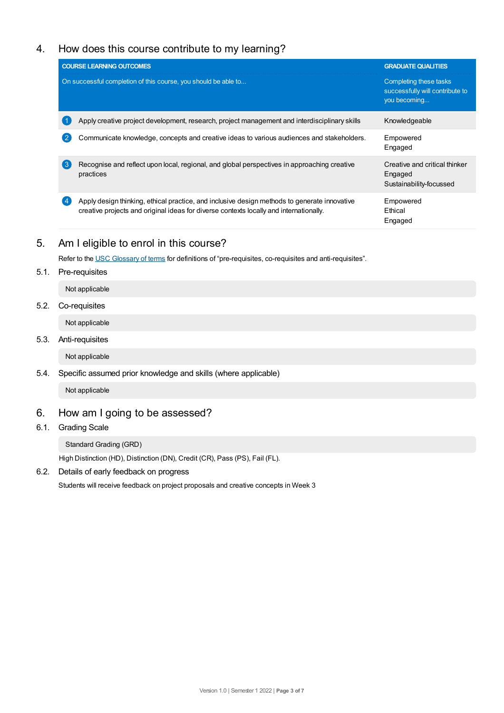# 4. How does this course contribute to my learning?

| <b>COURSE LEARNING OUTCOMES</b>                                                                                                                                                        | <b>GRADUATE QUALITIES</b>                                                 |
|----------------------------------------------------------------------------------------------------------------------------------------------------------------------------------------|---------------------------------------------------------------------------|
| On successful completion of this course, you should be able to                                                                                                                         | Completing these tasks<br>successfully will contribute to<br>you becoming |
| Apply creative project development, research, project management and interdisciplinary skills                                                                                          | Knowledgeable                                                             |
| Communicate knowledge, concepts and creative ideas to various audiences and stakeholders.                                                                                              | Empowered<br>Engaged                                                      |
| Recognise and reflect upon local, regional, and global perspectives in approaching creative<br>practices                                                                               | Creative and critical thinker<br>Engaged<br>Sustainability-focussed       |
| Apply design thinking, ethical practice, and inclusive design methods to generate innovative<br>creative projects and original ideas for diverse contexts locally and internationally. | Empowered<br>Ethical<br>Engaged                                           |

## 5. Am Ieligible to enrol in this course?

Refer to the USC [Glossary](https://www.usc.edu.au/about/policies-and-procedures/glossary-of-terms-for-policy-and-procedures) of terms for definitions of "pre-requisites, co-requisites and anti-requisites".

5.1. Pre-requisites

Not applicable

## 5.2. Co-requisites

Not applicable

5.3. Anti-requisites

Not applicable

5.4. Specific assumed prior knowledge and skills (where applicable)

Not applicable

# 6. How am Igoing to be assessed?

## 6.1. Grading Scale

Standard Grading (GRD)

High Distinction (HD), Distinction (DN), Credit (CR), Pass (PS), Fail (FL).

## 6.2. Details of early feedback on progress

Students will receive feedback on project proposals and creative concepts in Week 3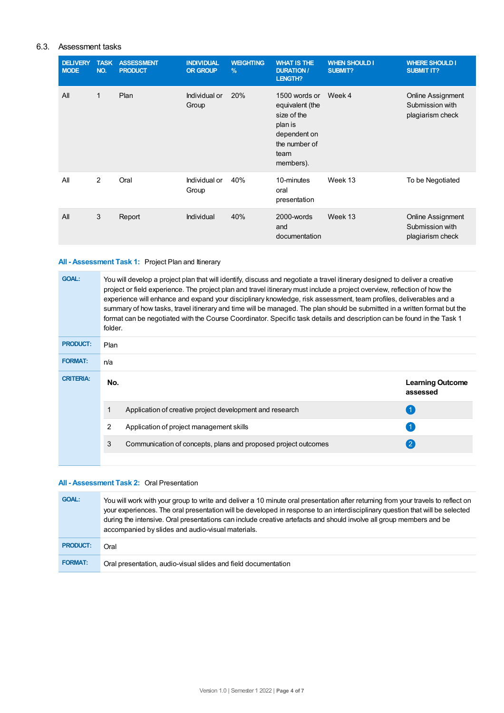## 6.3. Assessment tasks

| <b>DELIVERY</b><br><b>MODE</b> | <b>TASK</b><br>NO. | <b>ASSESSMENT</b><br><b>PRODUCT</b> | <b>INDIVIDUAL</b><br><b>OR GROUP</b> | <b>WEIGHTING</b><br>$\frac{9}{6}$ | <b>WHAT IS THE</b><br><b>DURATION /</b><br><b>LENGTH?</b>                                                        | <b>WHEN SHOULD I</b><br><b>SUBMIT?</b> | <b>WHERE SHOULD I</b><br><b>SUBMIT IT?</b>                      |
|--------------------------------|--------------------|-------------------------------------|--------------------------------------|-----------------------------------|------------------------------------------------------------------------------------------------------------------|----------------------------------------|-----------------------------------------------------------------|
| All                            | 1                  | Plan                                | Individual or<br>Group               | 20%                               | 1500 words or<br>equivalent (the<br>size of the<br>plan is<br>dependent on<br>the number of<br>team<br>members). | Week 4                                 | <b>Online Assignment</b><br>Submission with<br>plagiarism check |
| All                            | 2                  | Oral                                | Individual or<br>Group               | 40%                               | 10-minutes<br>oral<br>presentation                                                                               | Week 13                                | To be Negotiated                                                |
| All                            | 3                  | Report                              | Individual                           | 40%                               | 2000-words<br>and<br>documentation                                                                               | Week 13                                | <b>Online Assignment</b><br>Submission with<br>plagiarism check |

## **All - Assessment Task 1:** Project Plan and Itinerary

| <b>GOAL:</b>     | You will develop a project plan that will identify, discuss and negotiate a travel itinerary designed to deliver a creative<br>project or field experience. The project plan and travel itinerary must include a project overview, reflection of how the<br>experience will enhance and expand your disciplinary knowledge, risk assessment, team profiles, deliverables and a<br>summary of how tasks, travel itinerary and time will be managed. The plan should be submitted in a written format but the<br>format can be negotiated with the Course Coordinator. Specific task details and description can be found in the Task 1<br>folder. |                                                                |                                     |  |
|------------------|--------------------------------------------------------------------------------------------------------------------------------------------------------------------------------------------------------------------------------------------------------------------------------------------------------------------------------------------------------------------------------------------------------------------------------------------------------------------------------------------------------------------------------------------------------------------------------------------------------------------------------------------------|----------------------------------------------------------------|-------------------------------------|--|
| <b>PRODUCT:</b>  | Plan                                                                                                                                                                                                                                                                                                                                                                                                                                                                                                                                                                                                                                             |                                                                |                                     |  |
| <b>FORMAT:</b>   | n/a                                                                                                                                                                                                                                                                                                                                                                                                                                                                                                                                                                                                                                              |                                                                |                                     |  |
| <b>CRITERIA:</b> | No.                                                                                                                                                                                                                                                                                                                                                                                                                                                                                                                                                                                                                                              |                                                                | <b>Learning Outcome</b><br>assessed |  |
|                  |                                                                                                                                                                                                                                                                                                                                                                                                                                                                                                                                                                                                                                                  | Application of creative project development and research       |                                     |  |
|                  | 2                                                                                                                                                                                                                                                                                                                                                                                                                                                                                                                                                                                                                                                | Application of project management skills                       |                                     |  |
|                  | 3                                                                                                                                                                                                                                                                                                                                                                                                                                                                                                                                                                                                                                                | Communication of concepts, plans and proposed project outcomes | $\left( 2\right)$                   |  |
|                  |                                                                                                                                                                                                                                                                                                                                                                                                                                                                                                                                                                                                                                                  |                                                                |                                     |  |

## **All - Assessment Task 2:** Oral Presentation

| <b>GOAL:</b>    | You will work with your group to write and deliver a 10 minute oral presentation after returning from your travels to reflect on<br>your experiences. The oral presentation will be developed in response to an interdisciplinary question that will be selected<br>during the intensive. Oral presentations can include creative artefacts and should involve all group members and be<br>accompanied by slides and audio-visual materials. |
|-----------------|----------------------------------------------------------------------------------------------------------------------------------------------------------------------------------------------------------------------------------------------------------------------------------------------------------------------------------------------------------------------------------------------------------------------------------------------|
| <b>PRODUCT:</b> | Oral                                                                                                                                                                                                                                                                                                                                                                                                                                         |
| <b>FORMAT:</b>  | Oral presentation, audio-visual slides and field documentation                                                                                                                                                                                                                                                                                                                                                                               |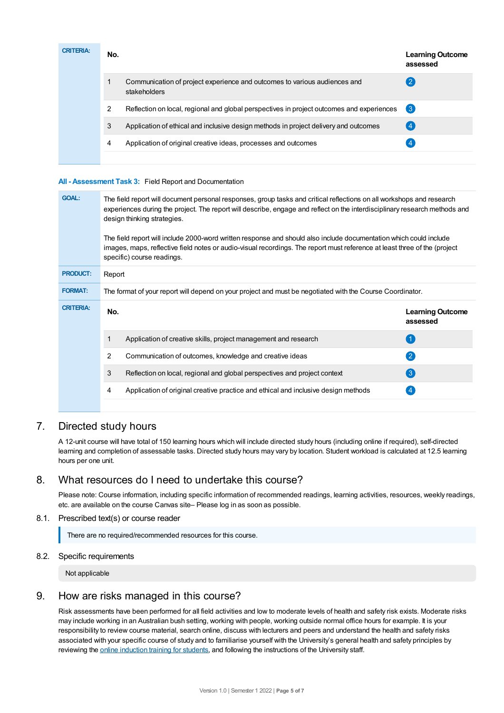| <b>CRITERIA:</b> | No. |                                                                                           | <b>Learning Outcome</b><br>assessed |
|------------------|-----|-------------------------------------------------------------------------------------------|-------------------------------------|
|                  |     | Communication of project experience and outcomes to various audiences and<br>stakeholders |                                     |
|                  | 2   | Reflection on local, regional and global perspectives in project outcomes and experiences | $\left( 3 \right)$                  |
|                  | 3   | Application of ethical and inclusive design methods in project delivery and outcomes      | $\overline{4}$                      |
|                  | 4   | Application of original creative ideas, processes and outcomes                            |                                     |
|                  |     |                                                                                           |                                     |

## **All - Assessment Task 3:** Field Report and Documentation

| <b>GOAL:</b>     | The field report will document personal responses, group tasks and critical reflections on all workshops and research<br>experiences during the project. The report will describe, engage and reflect on the interdisciplinary research methods and<br>design thinking strategies. |                                     |  |  |  |
|------------------|------------------------------------------------------------------------------------------------------------------------------------------------------------------------------------------------------------------------------------------------------------------------------------|-------------------------------------|--|--|--|
|                  | The field report will include 2000-word written response and should also include documentation which could include<br>images, maps, reflective field notes or audio-visual recordings. The report must reference at least three of the (project<br>specific) course readings.      |                                     |  |  |  |
| <b>PRODUCT:</b>  | Report                                                                                                                                                                                                                                                                             |                                     |  |  |  |
| <b>FORMAT:</b>   | The format of your report will depend on your project and must be negotiated with the Course Coordinator.                                                                                                                                                                          |                                     |  |  |  |
| <b>CRITERIA:</b> | No.                                                                                                                                                                                                                                                                                | <b>Learning Outcome</b><br>assessed |  |  |  |
|                  | Application of creative skills, project management and research<br>1                                                                                                                                                                                                               |                                     |  |  |  |
|                  | 2<br>Communication of outcomes, knowledge and creative ideas                                                                                                                                                                                                                       | $\left 2\right $                    |  |  |  |
|                  | 3<br>Reflection on local, regional and global perspectives and project context                                                                                                                                                                                                     | $\left(3\right)$                    |  |  |  |
|                  | Application of original creative practice and ethical and inclusive design methods<br>4                                                                                                                                                                                            |                                     |  |  |  |
|                  |                                                                                                                                                                                                                                                                                    |                                     |  |  |  |

## 7. Directed study hours

A 12-unit course will have total of 150 learning hours which will include directed study hours (including online if required), self-directed learning and completion of assessable tasks. Directed study hours may vary by location. Student workload is calculated at 12.5 learning hours per one unit.

## 8. What resources do I need to undertake this course?

Please note: Course information, including specific information of recommended readings, learning activities, resources, weekly readings, etc. are available on the course Canvas site– Please log in as soon as possible.

8.1. Prescribed text(s) or course reader

There are no required/recommended resources for this course.

### 8.2. Specific requirements

Not applicable

## 9. How are risks managed in this course?

Risk assessments have been performed for all field activities and low to moderate levels of health and safety risk exists. Moderate risks may include working in an Australian bush setting, working with people, working outside normal office hours for example. It is your responsibility to review course material, search online, discuss with lecturers and peers and understand the health and safety risks associated with your specific course of study and to familiarise yourself with the University's general health and safety principles by reviewing the online [induction](https://online.usc.edu.au/webapps/blackboard/content/listContentEditable.jsp?content_id=_632657_1&course_id=_14432_1) training for students, and following the instructions of the University staff.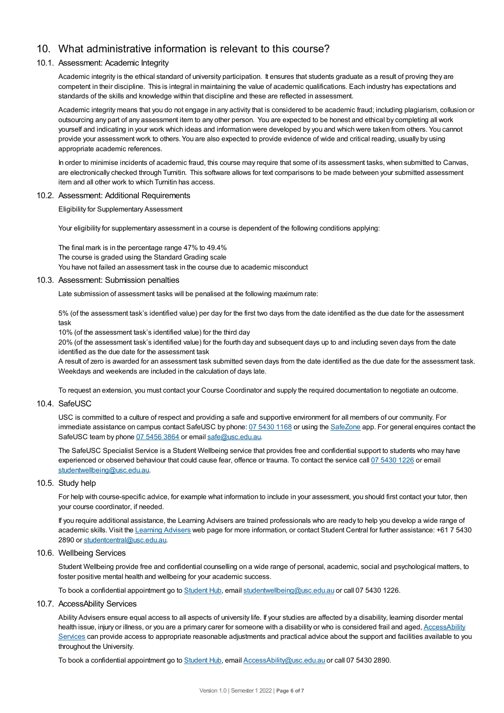## 10. What administrative information is relevant to this course?

## 10.1. Assessment: Academic Integrity

Academic integrity is the ethical standard of university participation. It ensures that students graduate as a result of proving they are competent in their discipline. This is integral in maintaining the value of academic qualifications. Each industry has expectations and standards of the skills and knowledge within that discipline and these are reflected in assessment.

Academic integrity means that you do not engage in any activity that is considered to be academic fraud; including plagiarism, collusion or outsourcing any part of any assessment item to any other person. You are expected to be honest and ethical by completing all work yourself and indicating in your work which ideas and information were developed by you and which were taken from others. You cannot provide your assessment work to others.You are also expected to provide evidence of wide and critical reading, usually by using appropriate academic references.

In order to minimise incidents of academic fraud, this course may require that some of its assessment tasks, when submitted to Canvas, are electronically checked through Turnitin. This software allows for text comparisons to be made between your submitted assessment item and all other work to which Turnitin has access.

### 10.2. Assessment: Additional Requirements

Eligibility for Supplementary Assessment

Your eligibility for supplementary assessment in a course is dependent of the following conditions applying:

The final mark is in the percentage range 47% to 49.4% The course is graded using the Standard Grading scale You have not failed an assessment task in the course due to academic misconduct

### 10.3. Assessment: Submission penalties

Late submission of assessment tasks will be penalised at the following maximum rate:

5% (of the assessment task's identified value) per day for the first two days from the date identified as the due date for the assessment task

10% (of the assessment task's identified value) for the third day

20% (of the assessment task's identified value) for the fourth day and subsequent days up to and including seven days from the date identified as the due date for the assessment task

A result of zero is awarded for an assessment task submitted seven days from the date identified as the due date for the assessment task. Weekdays and weekends are included in the calculation of days late.

To request an extension, you must contact your Course Coordinator and supply the required documentation to negotiate an outcome.

### 10.4. SafeUSC

USC is committed to a culture of respect and providing a safe and supportive environment for all members of our community. For immediate assistance on campus contact SafeUSC by phone: 07 [5430](tel:07%205430%201168) 1168 or using the [SafeZone](https://www.safezoneapp.com) app. For general enquires contact the SafeUSC team by phone 07 [5456](tel:07%205456%203864) 3864 or email [safe@usc.edu.au](mailto:safe@usc.edu.au).

The SafeUSC Specialist Service is a Student Wellbeing service that provides free and confidential support to students who may have experienced or observed behaviour that could cause fear, offence or trauma. To contact the service call 07 [5430](tel:07%205430%201226) 1226 or email [studentwellbeing@usc.edu.au](mailto:studentwellbeing@usc.edu.au).

### 10.5. Study help

For help with course-specific advice, for example what information to include in your assessment, you should first contact your tutor, then your course coordinator, if needed.

If you require additional assistance, the Learning Advisers are trained professionals who are ready to help you develop a wide range of academic skills. Visit the Learning [Advisers](https://www.usc.edu.au/current-students/student-support/academic-and-study-support/learning-advisers) web page for more information, or contact Student Central for further assistance: +61 7 5430 2890 or [studentcentral@usc.edu.au](mailto:studentcentral@usc.edu.au).

## 10.6. Wellbeing Services

Student Wellbeing provide free and confidential counselling on a wide range of personal, academic, social and psychological matters, to foster positive mental health and wellbeing for your academic success.

To book a confidential appointment go to [Student](https://studenthub.usc.edu.au/) Hub, email [studentwellbeing@usc.edu.au](mailto:studentwellbeing@usc.edu.au) or call 07 5430 1226.

### 10.7. AccessAbility Services

Ability Advisers ensure equal access to all aspects of university life. If your studies are affected by a disability, learning disorder mental health issue, injury or illness, or you are a primary carer for someone with a disability or who is considered frail and aged, [AccessAbility](https://www.usc.edu.au/learn/student-support/accessability-services/documentation-requirements) Services can provide access to appropriate reasonable adjustments and practical advice about the support and facilities available to you throughout the University.

To book a confidential appointment go to [Student](https://studenthub.usc.edu.au/) Hub, email [AccessAbility@usc.edu.au](mailto:AccessAbility@usc.edu.au) or call 07 5430 2890.